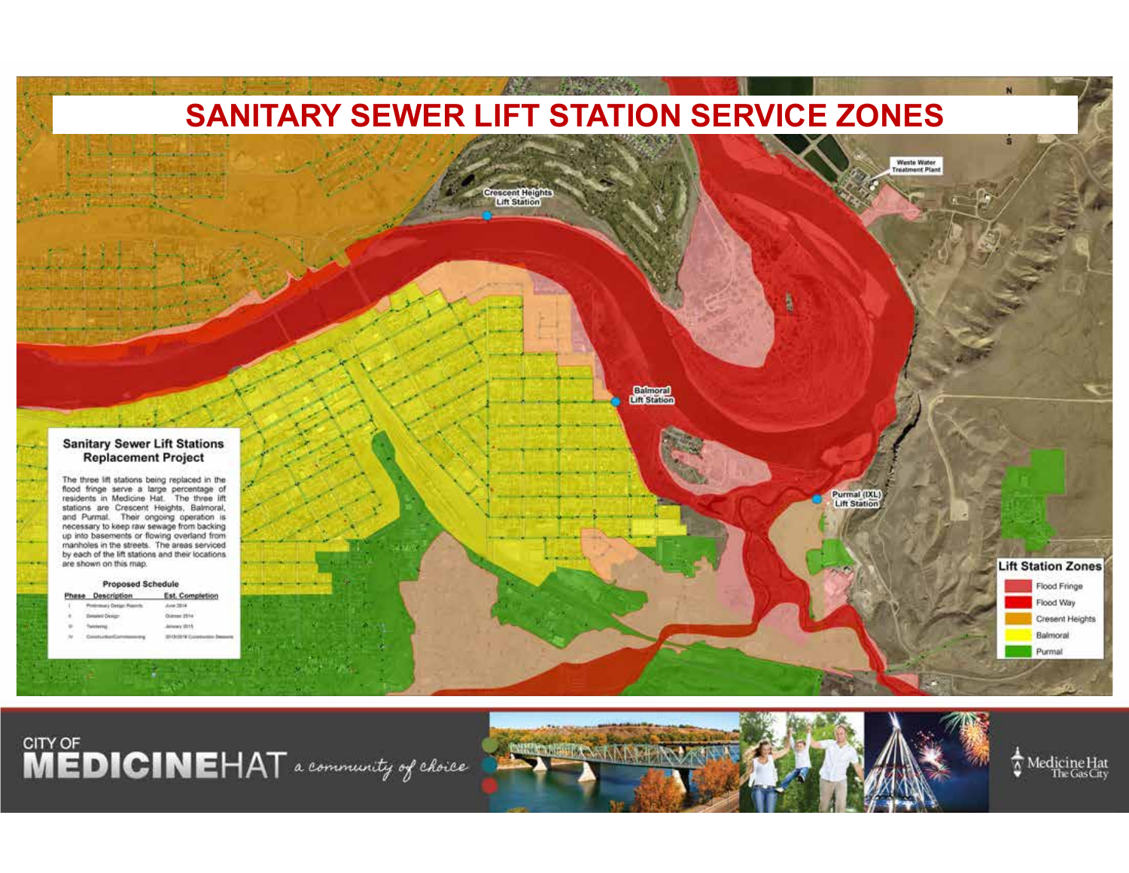

CITY OF **DICINE**HAT a community of choice



Medicine Hat<br>The Gas City  $\boldsymbol{\Lambda}$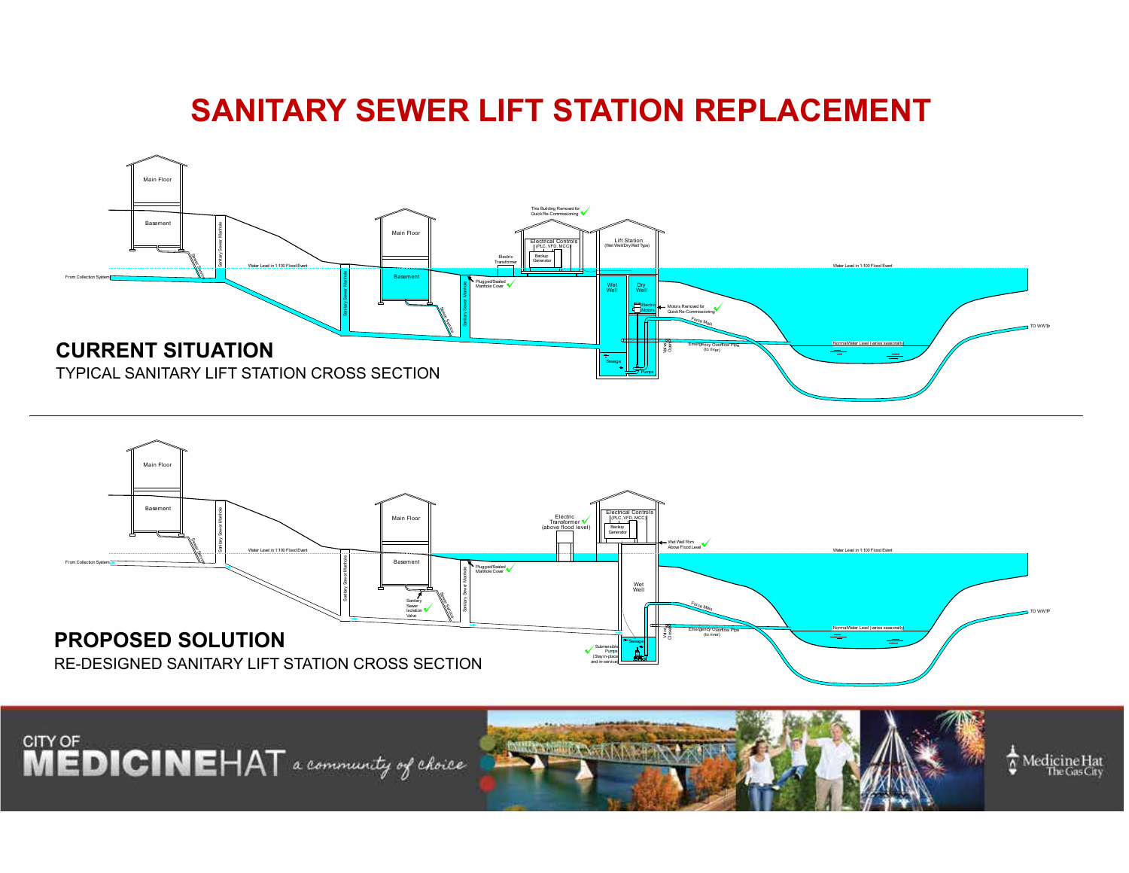## **SANITARY SEWER LIFT STATION REPLACEMENT**